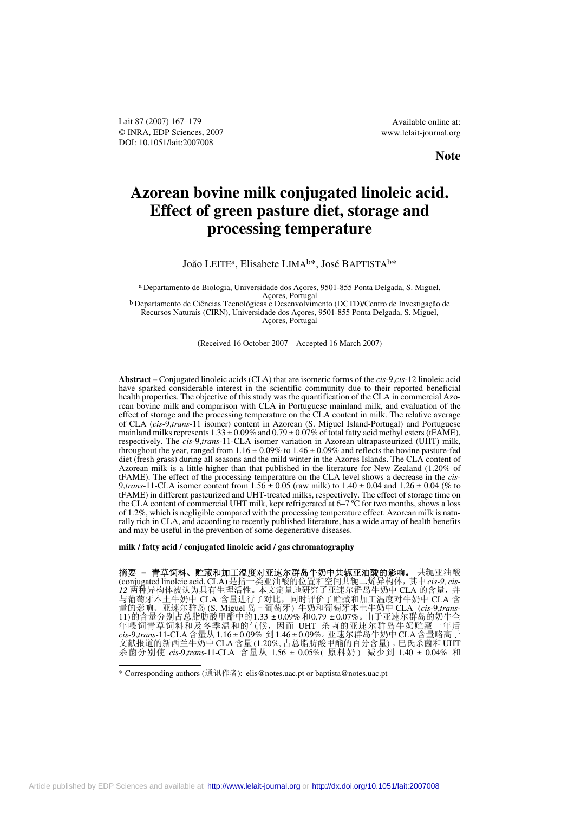Lait 87 (2007) 167–179 © INRA, EDP Sciences, 2007 DOI: 10.1051/lait:2007008

Available online at: www.lelait-journal.org

# **Note**

# **Azorean bovine milk conjugated linoleic acid. Effect of green pasture diet, storage and processing temperature**

## João LEITE<sup>a</sup>, Elisabete LIMA<sup>b\*</sup>, José BAPTISTA<sup>b\*</sup>

a Departamento de Biologia, Universidade dos Açores, 9501-855 Ponta Delgada, S. Miguel, Açores, Portugal

b Departamento de Ciências Tecnológicas e Desenvolvimento (DCTD)/Centro de Investigação de Recursos Naturais (CIRN), Universidade dos Açores, 9501-855 Ponta Delgada, S. Miguel, Açores, Portugal

(Received 16 October 2007 – Accepted 16 March 2007)

**Abstract –** Conjugated linoleic acids (CLA) that are isomeric forms of the *cis*-9,*cis*-12 linoleic acid have sparked considerable interest in the scientific community due to their reported beneficial health properties. The objective of this study was the quantification of the CLA in commercial Azorean bovine milk and comparison with CLA in Portuguese mainland milk, and evaluation of the effect of storage and the processing temperature on the CLA content in milk. The relative average of CLA (*cis*-9,*trans*-11 isomer) content in Azorean (S. Miguel Island-Portugal) and Portuguese mainland milks represents  $1.33 \pm 0.09\%$  and  $0.79 \pm 0.07\%$  of total fatty acid methyl esters (tFAME), respectively. The *cis*-9,*trans*-11-CLA isomer variation in Azorean ultrapasteurized (UHT) milk, throughout the year, ranged from  $1.16 \pm 0.09\%$  to  $1.46 \pm 0.09\%$  and reflects the bovine pasture-fed diet (fresh grass) during all seasons and the mild winter in the Azores Islands. The CLA content of Azorean milk is a little higher than that published in the literature for New Zealand (1.20% of tFAME). The effect of the processing temperature on the CLA level shows a decrease in the *cis*-9,*trans*-11-CLA isomer content from 1.56 ± 0.05 (raw milk) to 1.40 ± 0.04 and 1.26 ± 0.04 (% to tFAME) in different pasteurized and UHT-treated milks, respectively. The effect of storage time on the CLA content of commercial UHT milk, kept refrigerated at 6–7 ºC for two months, shows a loss of 1.2%, which is negligible compared with the processing temperature effect. Azorean milk is naturally rich in CLA, and according to recently published literature, has a wide array of health benefits and may be useful in the prevention of some degenerative diseases.

**milk / fatty acid / conjugated linoleic acid / gas chromatography**

摘要 **–** 青草饲料、贮藏和加工温度对亚速尔群岛牛奶中共轭亚油酸的影响。 共轭亚油酸 (conjugated linoleic acid, CLA)是指一类亚油酸的位置和空间共轭二烯异构体,其中*cis-9, cis-12* 两种异构体被认为具有生理活性。本文定量地研究了亚速尔群岛牛奶中 CLA 的含量,并 与葡萄牙本土牛奶中 CLA 含量进行了对比,同时评价了贮藏和加工温度对牛奶中 CLA 含 量的影响。亚速尔群岛 (S. Miguel 岛 - 葡萄牙) 牛奶和葡萄牙本土牛奶中 CLA (*cis*-9,*trans*-11)的含量分别占总脂肪酸甲酯中的1.33 ± 0.09% 和0.79 ± 0.07%。由于亚速尔群岛的奶牛全 年喂饲青草饲料和及冬季温和的气候,因而 UHT 杀菌的亚速尔群岛牛奶贮藏一年后 *cis*-9,*trans*-11-CLA含量从 1.16 ± 0.09% 到 1.46 ± 0.09%。亚速尔群岛牛奶中 CLA含量略高于 文献报道的新西兰牛奶中 CLA 含量 (1.20%, 占总脂肪酸甲酯的百分含量) 。巴氏杀菌和 UHT 杀菌分别使 *cis*-9,*trans*-11-CLA 含量从 1.56 ± 0.05%( 原料奶 ) 减少到 1.40 ± 0.04% 和

<sup>\*</sup> Corresponding authors (通讯作者): elis@notes.uac.pt or baptista@notes.uac.pt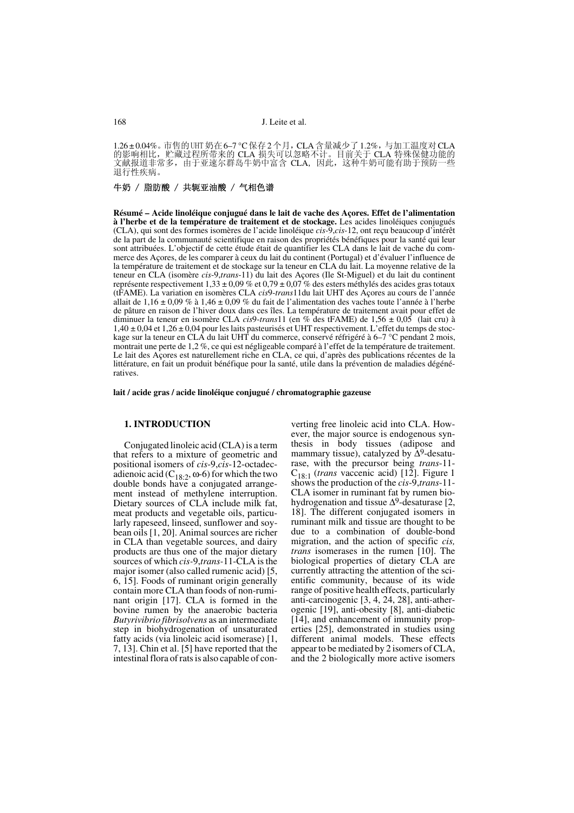1.26±0.04%。市售的 UHT 奶在 6–7 ℃ 保存 2 个月, CLA 含量减少了 1.2%, 与加工温度对 CLA 的影响相比,贮藏过程所带来的 CLA 损失可以忽略不计。目前关于 CLA 特殊保健功能的 文献报道非常多,由于亚速尔群岛牛奶中富含 CLA, 因此,这种牛奶可能有助于预防一些 退行性疾病。

## 牛奶 / 脂肪酸 / 共轭亚油酸 / 气相色谱

**Résumé – Acide linoléique conjugué dans le lait de vache des Açores. Effet de l'alimentation à l'herbe et de la température de traitement et de stockage.** Les acides linoléiques conjugués (CLA), qui sont des formes isomères de l'acide linoléique *cis-*9,*cis-*12, ont reçu beaucoup d'intérêt de la part de la communauté scientifique en raison des propriétés bénéfiques pour la santé qui leur sont attribuées. L'objectif de cette étude était de quantifier les CLA dans le lait de vache du commerce des Açores, de les comparer à ceux du lait du continent (Portugal) et d'évaluer l'influence de la température de traitement et de stockage sur la teneur en CLA du lait. La moyenne relative de la teneur en CLA (isomère *cis*-9,*trans*-11) du lait des Açores (Ile St-Miguel) et du lait du continent représente respectivement  $1,33 \pm 0,09\%$  et  $0,79 \pm 0,07\%$  des esters méthylés des acides gras totaux (tFAME). La variation en isomères CLA *cis*9-*trans*11du lait UHT des Açores au cours de l'année allait de 1,16 ± 0,09 % à 1,46 ± 0,09 % du fait de l'alimentation des vaches toute l'année à l'herbe de pâture en raison de l'hiver doux dans ces îles. La température de traitement avait pour effet de diminuer la teneur en isomère CLA *cis*9-*trans*11 (en % des tFAME) de 1,56 ± 0,05 (lait cru) à 1,40 ± 0,04 et 1,26 ± 0,04 pour les laits pasteurisés et UHT respectivement. L'effet du temps de stockage sur la teneur en CLA du lait UHT du commerce, conservé réfrigéré à 6–7 °C pendant 2 mois, montrait une perte de 1,2 %, ce qui est négligeable comparé à l'effet de la température de traitement. Le lait des Açores est naturellement riche en CLA, ce qui, d'après des publications récentes de la littérature, en fait un produit bénéfique pour la santé, utile dans la prévention de maladies dégénératives.

**lait / acide gras / acide linoléique conjugué / chromatographie gazeuse**

#### **1. INTRODUCTION**

Conjugated linoleic acid (CLA) is a term that refers to a mixture of geometric and positional isomers of *cis*-9,*cis*-12-octadecadienoic acid  $(C_{18:2}, \omega$ -6) for which the two double bonds have a conjugated arrangement instead of methylene interruption. Dietary sources of CLA include milk fat, meat products and vegetable oils, particularly rapeseed, linseed, sunflower and soybean oils [1, 20]. Animal sources are richer in CLA than vegetable sources, and dairy products are thus one of the major dietary sources of which *cis-*9,*trans-*11-CLA is the major isomer (also called rumenic acid) [5, 6, 15]. Foods of ruminant origin generally contain more CLA than foods of non-ruminant origin [17]. CLA is formed in the bovine rumen by the anaerobic bacteria *Butyrivibrio fibrisolvens* as an intermediate step in biohydrogenation of unsaturated fatty acids (via linoleic acid isomerase) [1, 7, 13]. Chin et al. [5] have reported that the intestinal flora of rats is also capable of converting free linoleic acid into CLA. However, the major source is endogenous synthesis in body tissues (adipose and mammary tissue), catalyzed by  $\Delta$ <sup>9</sup>-desaturase, with the precursor being *trans*-11- C18:1 (*trans* vaccenic acid) [12]. Figure 1 shows the production of the *cis*-9,*trans*-11- CLA isomer in ruminant fat by rumen biohydrogenation and tissue  $\Delta^9$ -desaturase [2, 18]. The different conjugated isomers in ruminant milk and tissue are thought to be due to a combination of double-bond migration, and the action of specific *cis, trans* isomerases in the rumen [10]. The biological properties of dietary CLA are currently attracting the attention of the scientific community, because of its wide range of positive health effects, particularly anti-carcinogenic [3, 4, 24, 28], anti-atherogenic [19], anti-obesity [8], anti-diabetic [14], and enhancement of immunity properties [25], demonstrated in studies using different animal models. These effects appear to be mediated by 2 isomers of CLA, and the 2 biologically more active isomers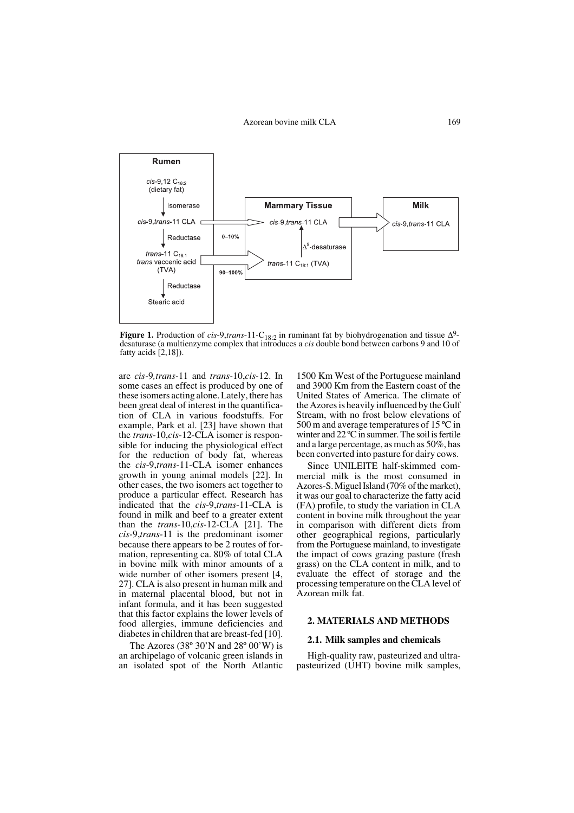

**Figure 1.** Production of *cis*-9,*trans*-11-C<sub>18:2</sub> in ruminant fat by biohydrogenation and tissue  $\Delta^9$ desaturase (a multienzyme complex that introduces a *cis* double bond between carbons 9 and 10 of fatty acids [2,18]).

are *cis-*9*,trans-*11 and *trans-*10,*cis-*12. In some cases an effect is produced by one of these isomers acting alone. Lately, there has been great deal of interest in the quantification of CLA in various foodstuffs. For example, Park et al. [23] have shown that the *trans*-10,*cis*-12-CLA isomer is responsible for inducing the physiological effect for the reduction of body fat, whereas the *cis*-9,*trans*-11-CLA isomer enhances growth in young animal models [22]. In other cases, the two isomers act together to produce a particular effect. Research has indicated that the *cis*-9,*trans*-11-CLA is found in milk and beef to a greater extent than the *trans*-10,*cis-*12-CLA [21]. The *cis-*9,*trans-*11 is the predominant isomer because there appears to be 2 routes of formation, representing ca. 80% of total CLA in bovine milk with minor amounts of a wide number of other isomers present [4, 27]. CLA is also present in human milk and in maternal placental blood, but not in infant formula, and it has been suggested that this factor explains the lower levels of food allergies, immune deficiencies and diabetes in children that are breast-fed [10].

The Azores (38 $\degree$  30'N and 28 $\degree$  00'W) is an archipelago of volcanic green islands in an isolated spot of the North Atlantic

1500 Km West of the Portuguese mainland and 3900 Km from the Eastern coast of the United States of America. The climate of the Azores is heavily influenced by the Gulf Stream, with no frost below elevations of 500 m and average temperatures of 15 ºC in winter and 22 ºC in summer. The soil is fertile and a large percentage, as much as 50%, has been converted into pasture for dairy cows.

Since UNILEITE half-skimmed commercial milk is the most consumed in Azores-S. Miguel Island (70% of the market), it was our goal to characterize the fatty acid (FA) profile, to study the variation in CLA content in bovine milk throughout the year in comparison with different diets from other geographical regions, particularly from the Portuguese mainland, to investigate the impact of cows grazing pasture (fresh grass) on the CLA content in milk, and to evaluate the effect of storage and the processing temperature on the CLA level of Azorean milk fat.

## **2. MATERIALS AND METHODS**

#### **2.1. Milk samples and chemicals**

High-quality raw, pasteurized and ultrapasteurized (UHT) bovine milk samples,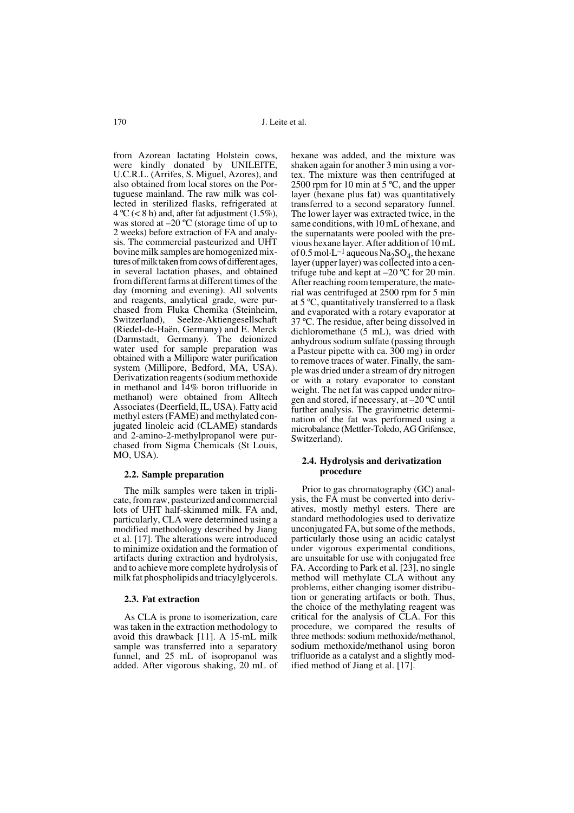from Azorean lactating Holstein cows, were kindly donated by UNILEITE, U.C.R.L. (Arrifes, S. Miguel, Azores), and also obtained from local stores on the Portuguese mainland. The raw milk was collected in sterilized flasks, refrigerated at  $4^{\circ}C$  (< 8 h) and, after fat adjustment (1.5%), was stored at –20 ºC (storage time of up to 2 weeks) before extraction of FA and analysis. The commercial pasteurized and UHT bovine milk samples are homogenized mixtures of milk taken from cows of different ages, in several lactation phases, and obtained from different farms at different times of the day (morning and evening). All solvents and reagents, analytical grade, were purchased from Fluka Chemika (Steinheim, Switzerland), Seelze-Aktiengesellschaft (Riedel-de-Haën, Germany) and E. Merck (Darmstadt, Germany). The deionized water used for sample preparation was obtained with a Millipore water purification system (Millipore, Bedford, MA, USA). Derivatization reagents (sodium methoxide in methanol and 14% boron trifluoride in methanol) were obtained from Alltech Associates (Deerfield, IL, USA). Fatty acid methyl esters (FAME) and methylated conjugated linoleic acid (CLAME) standards and 2-amino-2-methylpropanol were purchased from Sigma Chemicals (St Louis, MO, USA).

#### **2.2. Sample preparation**

The milk samples were taken in triplicate, from raw, pasteurized and commercial lots of UHT half-skimmed milk. FA and, particularly, CLA were determined using a modified methodology described by Jiang et al. [17]. The alterations were introduced to minimize oxidation and the formation of artifacts during extraction and hydrolysis, and to achieve more complete hydrolysis of milk fat phospholipids and triacylglycerols.

#### **2.3. Fat extraction**

As CLA is prone to isomerization, care was taken in the extraction methodology to avoid this drawback [11]. A 15-mL milk sample was transferred into a separatory funnel, and 25 mL of isopropanol was added. After vigorous shaking, 20 mL of hexane was added, and the mixture was shaken again for another 3 min using a vortex. The mixture was then centrifuged at 2500 rpm for 10 min at 5 ºC, and the upper layer (hexane plus fat) was quantitatively transferred to a second separatory funnel. The lower layer was extracted twice, in the same conditions, with 10 mL of hexane, and the supernatants were pooled with the previous hexane layer. After addition of 10 mL of 0.5 mol·L<sup>-1</sup> aqueous Na<sub>2</sub>SO<sub>4</sub>, the hexane layer (upper layer) was collected into a centrifuge tube and kept at  $-20$  °C for 20 min. After reaching room temperature, the material was centrifuged at 2500 rpm for 5 min at 5 ºC, quantitatively transferred to a flask and evaporated with a rotary evaporator at 37 ºC. The residue, after being dissolved in dichloromethane (5 mL), was dried with anhydrous sodium sulfate (passing through a Pasteur pipette with ca. 300 mg) in order to remove traces of water. Finally, the sample was dried under a stream of dry nitrogen or with a rotary evaporator to constant weight. The net fat was capped under nitrogen and stored, if necessary, at –20 ºC until further analysis. The gravimetric determination of the fat was performed using a microbalance (Mettler-Toledo, AG Grifensee, Switzerland).

### **2.4. Hydrolysis and derivatization procedure**

Prior to gas chromatography (GC) analysis, the FA must be converted into derivatives, mostly methyl esters. There are standard methodologies used to derivatize unconjugated FA, but some of the methods, particularly those using an acidic catalyst under vigorous experimental conditions, are unsuitable for use with conjugated free FA. According to Park et al. [23], no single method will methylate CLA without any problems, either changing isomer distribution or generating artifacts or both. Thus, the choice of the methylating reagent was critical for the analysis of CLA. For this procedure, we compared the results of three methods: sodium methoxide/methanol, sodium methoxide/methanol using boron trifluoride as a catalyst and a slightly modified method of Jiang et al. [17].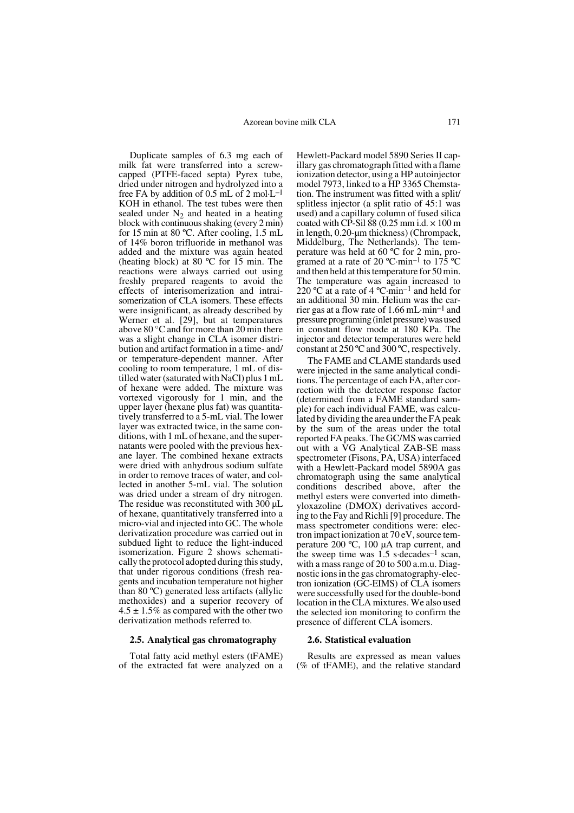Duplicate samples of 6.3 mg each of milk fat were transferred into a screwcapped (PTFE-faced septa) Pyrex tube, dried under nitrogen and hydrolyzed into a free FA by addition of  $0.5$  mL of  $2 \text{ mol} \cdot L^{-1}$ KOH in ethanol. The test tubes were then sealed under  $N_2$  and heated in a heating block with continuous shaking (every 2 min) for 15 min at 80 ºC. After cooling, 1.5 mL of 14% boron trifluoride in methanol was added and the mixture was again heated (heating block) at 80 ºC for 15 min. The reactions were always carried out using freshly prepared reagents to avoid the effects of interisomerization and intraisomerization of CLA isomers. These effects were insignificant, as already described by Werner et al. [29], but at temperatures above 80 °C and for more than 20 min there was a slight change in CLA isomer distribution and artifact formation in a time- and/ or temperature-dependent manner. After cooling to room temperature, 1 mL of distilled water (saturated with NaCl) plus 1 mL of hexane were added. The mixture was vortexed vigorously for 1 min, and the upper layer (hexane plus fat) was quantitatively transferred to a 5-mL vial. The lower layer was extracted twice, in the same conditions, with 1 mL of hexane, and the supernatants were pooled with the previous hexane layer. The combined hexane extracts were dried with anhydrous sodium sulfate in order to remove traces of water, and collected in another 5-mL vial. The solution was dried under a stream of dry nitrogen. The residue was reconstituted with 300 µL of hexane, quantitatively transferred into a micro-vial and injected into GC. The whole derivatization procedure was carried out in subdued light to reduce the light-induced isomerization. Figure 2 shows schematically the protocol adopted during this study, that under rigorous conditions (fresh reagents and incubation temperature not higher than 80 ºC) generated less artifacts (allylic methoxides) and a superior recovery of  $4.5 \pm 1.5\%$  as compared with the other two derivatization methods referred to.

#### **2.5. Analytical gas chromatography**

Total fatty acid methyl esters (tFAME) of the extracted fat were analyzed on a Hewlett-Packard model 5890 Series II capillary gas chromatograph fitted with a flame ionization detector, using a HP autoinjector model 7973, linked to a HP 3365 Chemstation. The instrument was fitted with a split/ splitless injector (a split ratio of 45:1 was used) and a capillary column of fused silica coated with CP-Sil  $88$  (0.25 mm i.d.  $\times$  100 m in length, 0.20-µm thickness) (Chrompack, Middelburg, The Netherlands). The temperature was held at 60 ºC for 2 min, programed at a rate of 20  $^{\circ}$ C·min<sup>-1</sup> to 175  $^{\circ}$ C and then held at this temperature for 50 min. The temperature was again increased to 220 °C at a rate of 4 °C·min<sup>-1</sup> and held for an additional 30 min. Helium was the carrier gas at a flow rate of 1.66 mL·min–1 and pressure programing (inlet pressure) was used in constant flow mode at 180 KPa. The injector and detector temperatures were held constant at 250 ºC and 300 ºC, respectively.

The FAME and CLAME standards used were injected in the same analytical conditions. The percentage of each FA, after correction with the detector response factor (determined from a FAME standard sample) for each individual FAME, was calculated by dividing the area under the FA peak by the sum of the areas under the total reported FA peaks. The GC/MS was carried out with a VG Analytical ZAB-SE mass spectrometer (Fisons, PA, USA) interfaced with a Hewlett-Packard model 5890A gas chromatograph using the same analytical conditions described above, after the methyl esters were converted into dimethyloxazoline (DMOX) derivatives according to the Fay and Richli [9] procedure. The mass spectrometer conditions were: electron impact ionization at 70 eV, source temperature 200 ºC, 100 µA trap current, and the sweep time was  $1.5$  s $\cdot$ decades<sup>-1</sup> scan, with a mass range of 20 to 500 a.m.u. Diagnostic ions in the gas chromatography-electron ionization (GC-EIMS) of CLA isomers were successfully used for the double-bond location in the CLA mixtures. We also used the selected ion monitoring to confirm the presence of different CLA isomers.

#### **2.6. Statistical evaluation**

Results are expressed as mean values (% of tFAME), and the relative standard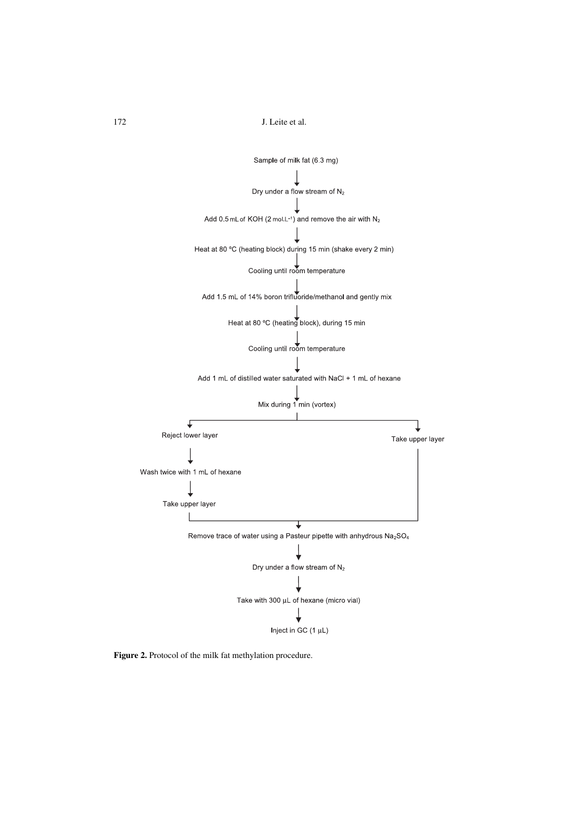

**Figure 2.** Protocol of the milk fat methylation procedure.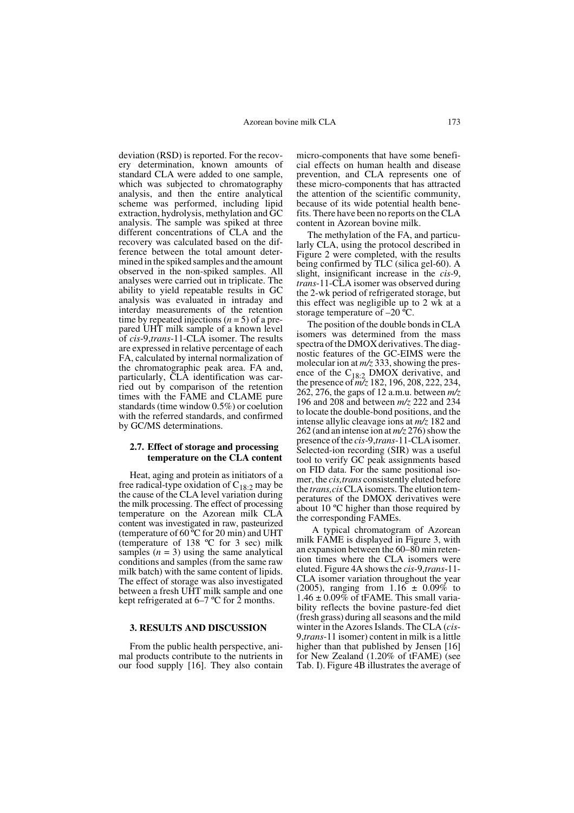deviation (RSD) is reported. For the recovery determination, known amounts of standard CLA were added to one sample, which was subjected to chromatography analysis, and then the entire analytical scheme was performed, including lipid extraction, hydrolysis, methylation and GC analysis. The sample was spiked at three different concentrations of CLA and the recovery was calculated based on the difference between the total amount determined in the spiked samples and the amount observed in the non-spiked samples. All analyses were carried out in triplicate. The ability to yield repeatable results in GC analysis was evaluated in intraday and interday measurements of the retention time by repeated injections  $(n = 5)$  of a prepared UHT milk sample of a known level of *cis*-9,*trans*-11-CLA isomer. The results are expressed in relative percentage of each FA, calculated by internal normalization of the chromatographic peak area. FA and, particularly, CLA identification was carried out by comparison of the retention times with the FAME and CLAME pure standards (time window 0.5%) or coelution with the referred standards, and confirmed by GC/MS determinations.

## **2.7. Effect of storage and processing temperature on the CLA content**

Heat, aging and protein as initiators of a free radical-type oxidation of  $C_{18:2}$  may be the cause of the CLA level variation during the milk processing. The effect of processing temperature on the Azorean milk CLA content was investigated in raw, pasteurized (temperature of  $60^{\circ}$ C for 20 min) and UHT (temperature of 138 ºC for 3 sec) milk samples  $(n = 3)$  using the same analytical conditions and samples (from the same raw milk batch) with the same content of lipids. The effect of storage was also investigated between a fresh UHT milk sample and one kept refrigerated at 6–7 ºC for 2 months.

## **3. RESULTS AND DISCUSSION**

From the public health perspective, animal products contribute to the nutrients in our food supply [16]. They also contain micro-components that have some beneficial effects on human health and disease prevention, and CLA represents one of these micro-components that has attracted the attention of the scientific community, because of its wide potential health benefits. There have been no reports on the CLA content in Azorean bovine milk.

The methylation of the FA, and particularly CLA, using the protocol described in Figure 2 were completed, with the results being confirmed by TLC (silica gel-60). A slight, insignificant increase in the *cis*-9, *trans*-11-CLA isomer was observed during the 2-wk period of refrigerated storage, but this effect was negligible up to 2 wk at a storage temperature of  $-20$  °C.

The position of the double bonds in CLA isomers was determined from the mass spectra of the DMOX derivatives. The diagnostic features of the GC-EIMS were the molecular ion at *m/z* 333, showing the presence of the C<sub>18:2</sub> DMOX derivative, and the presence of *m/z* 182, 196, 208, 222, 234, 262, 276, the gaps of 12 a.m.u. between *m/z* 196 and 208 and between *m/z* 222 and 234 to locate the double-bond positions, and the intense allylic cleavage ions at *m/z* 182 and 262 (and an intense ion at *m/z* 276) show the presence of the *cis-*9,*trans*-11-CLA isomer. Selected-ion recording (SIR) was a useful tool to verify GC peak assignments based on FID data. For the same positional isomer, the *cis,trans* consistently eluted before the *trans,cis* CLA isomers. The elution temperatures of the DMOX derivatives were about 10 ºC higher than those required by the corresponding FAMEs.

 A typical chromatogram of Azorean milk FAME is displayed in Figure 3, with an expansion between the 60–80 min retention times where the CLA isomers were eluted. Figure 4A shows the *cis*-9,*trans*-11- CLA isomer variation throughout the year (2005), ranging from  $1.16 \pm 0.09\%$  to  $1.46 \pm 0.09\%$  of tFAME. This small variability reflects the bovine pasture-fed diet (fresh grass) during all seasons and the mild winter in the Azores Islands. The CLA (*cis*-9,*trans*-11 isomer) content in milk is a little higher than that published by Jensen [16] for New Zealand (1.20% of tFAME) (see Tab. I). Figure 4B illustrates the average of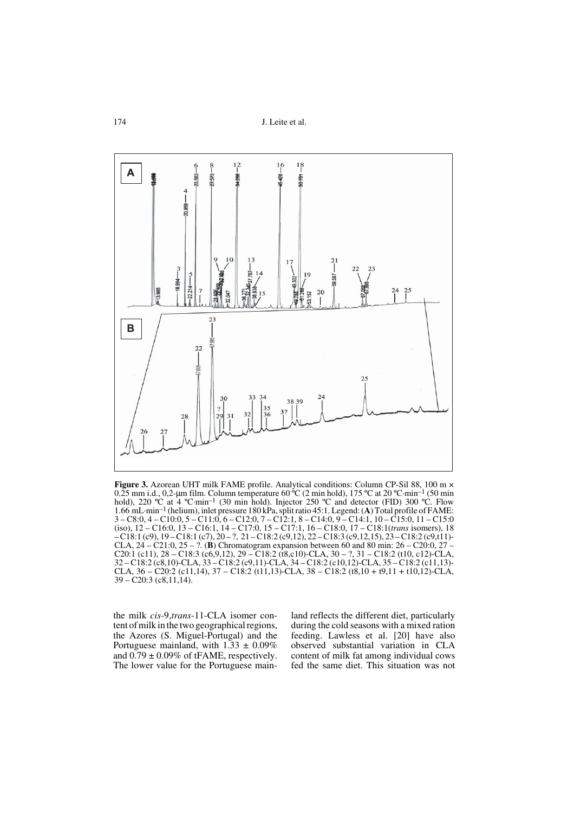

**Figure 3.** Azorean UHT milk FAME profile. Analytical conditions: Column CP-Sil 88, 100 m  $\times$  $0.25$  mm i.d., 0.2-um film. Column temperature 60 °C (2 min hold), 175 °C at 20 °C·min<sup>-1</sup> (50 min hold), 220 °C at 4 °C·min<sup>-1</sup> (30 min hold). Injector 250 °C and detector (FID) 300 °C. Flow 1.66 mL·min–1 (helium), inlet pressure 180 kPa, split ratio 45:1. Legend: (**A**) Total profile of FAME: 3 – C8:0, 4 – C10:0, 5 – C11:0, 6 – C12:0, 7 – C12:1, 8 – C14:0, 9 – C14:1, 10 – C15:0, 11 – C15:0 (iso), 12 – C16:0, 13 – C16:1, 14 – C17:0, 15 – C17:1, 16 – C18:0, 17 – C18:1(*trans* isomers), 18 – C18:1 (c9), 19 – C18:1 (c7), 20 – ?, 21 – C18:2 (c9,12), 22 – C18:3 (c9,12,15), 23 – C18:2 (c9,t11)- CLA, 24 – C21:0, 25 – ?. (**B**) Chromatogram expansion between 60 and 80 min: 26 – C20:0, 27 – C20:1 (c11),  $28 - C18:3$  (c6, 9, 12),  $29 - C18:2$  (t8, c10)-CLA,  $30 - ?$ ,  $31 - C18:2$  (t10, c12)-CLA, 32 – C18:2 (c8,10)-CLA, 33 – C18:2 (c9,11)-CLA, 34 – C18:2 (c10,12)-CLA, 35 – C18:2 (c11,13)- CLA,  $36 - C20:2$  (c11,14),  $37 - C18:2$  (t11,13)-CLA,  $38 - C18:2$  (t8,10 + t9,11 + t10,12)-CLA,  $39 - C20:3$  (c8,11,14).

the milk *cis*-9,*trans*-11-CLA isomer content of milk in the two geographical regions, the Azores (S. Miguel-Portugal) and the Portuguese mainland, with  $1.33 \pm 0.09\%$ and  $0.79 \pm 0.09\%$  of tFAME, respectively. The lower value for the Portuguese mainland reflects the different diet, particularly during the cold seasons with a mixed ration feeding. Lawless et al. [20] have also observed substantial variation in CLA content of milk fat among individual cows fed the same diet. This situation was not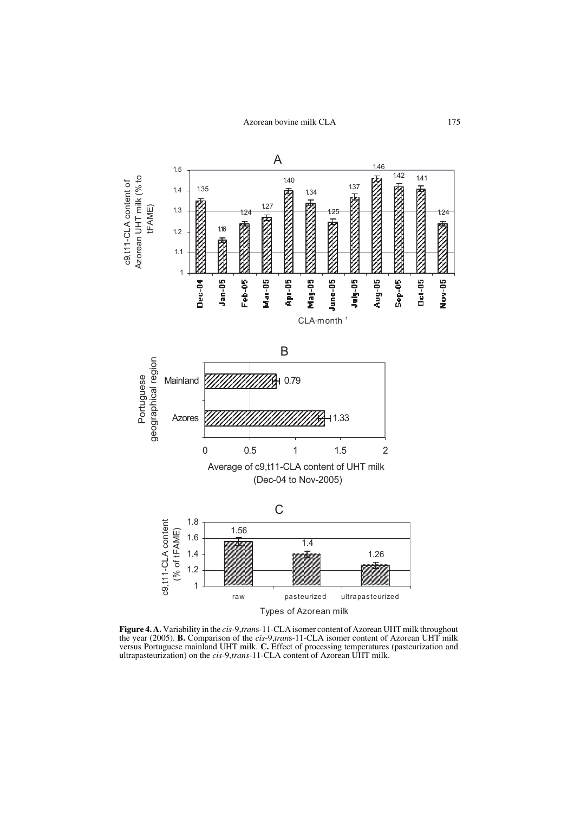

**Figure 4. A.** Variability in the *cis*-9,*tran*s-11-CLA isomer content of Azorean UHT milk throughout the year (2005). **B.** Comparison of the *cis*-9,*tran*s-11-CLA isomer content of Azorean UHT milk versus Portuguese mainland UHT milk. **C.** Effect of processing temperatures (pasteurization and ultrapasteurization) on the *cis*-9,*trans*-11-CLA content of Azorean UHT milk.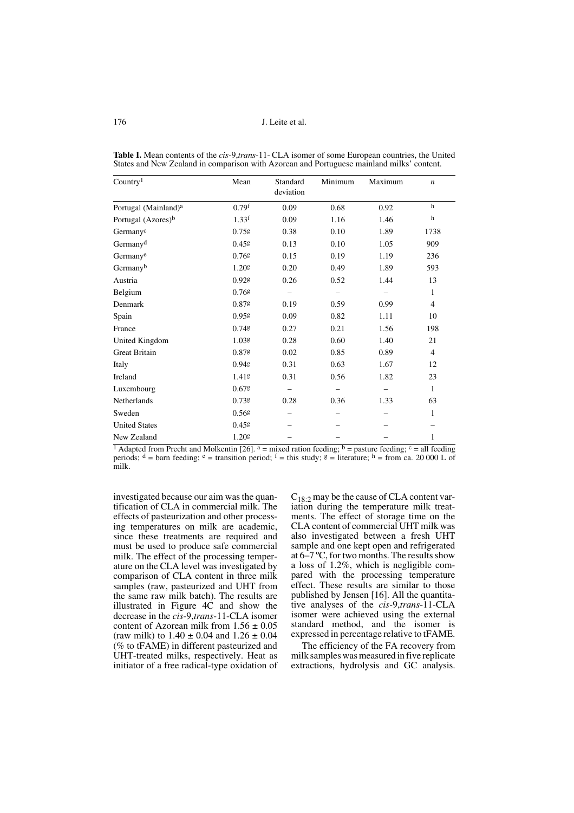| Country <sup>1</sup>             | Mean     | Standard<br>deviation | Minimum | Maximum | $\boldsymbol{n}$ |
|----------------------------------|----------|-----------------------|---------|---------|------------------|
| Portugal (Mainland) <sup>a</sup> | $0.79$ f | 0.09                  | 0.68    | 0.92    | $\mathbf h$      |
| Portugal (Azores) <sup>b</sup>   | $1.33$ f | 0.09                  | 1.16    | 1.46    | $\,$ h           |
| Germanyc                         | 0.75g    | 0.38                  | 0.10    | 1.89    | 1738             |
| Germany <sup>d</sup>             | 0.45g    | 0.13                  | 0.10    | 1.05    | 909              |
| Germanye                         | $0.76$ g | 0.15                  | 0.19    | 1.19    | 236              |
| Germanyb                         | 1.20g    | 0.20                  | 0.49    | 1.89    | 593              |
| Austria                          | 0.92g    | 0.26                  | 0.52    | 1.44    | 13               |
| Belgium                          | $0.76$ g |                       |         |         | 1                |
| Denmark                          | 0.87g    | 0.19                  | 0.59    | 0.99    | $\overline{4}$   |
| Spain                            | 0.95g    | 0.09                  | 0.82    | 1.11    | 10               |
| France                           | $0.74$ g | 0.27                  | 0.21    | 1.56    | 198              |
| United Kingdom                   | 1.03g    | 0.28                  | 0.60    | 1.40    | 21               |
| <b>Great Britain</b>             | 0.87g    | 0.02                  | 0.85    | 0.89    | $\overline{4}$   |
| Italy                            | 0.94g    | 0.31                  | 0.63    | 1.67    | 12               |
| Ireland                          | 1.41g    | 0.31                  | 0.56    | 1.82    | 23               |
| Luxembourg                       | 0.67g    |                       |         |         | $\mathbf{1}$     |
| Netherlands                      | 0.738    | 0.28                  | 0.36    | 1.33    | 63               |
| Sweden                           | 0.568    |                       |         |         | $\mathbf{1}$     |
| <b>United States</b>             | 0.458    |                       |         |         |                  |
| New Zealand                      | 1.20g    |                       |         |         | 1                |

**Table I.** Mean contents of the *cis-*9,*trans*-11- CLA isomer of some European countries, the United States and New Zealand in comparison with Azorean and Portuguese mainland milks' content.

<sup>1</sup> Adapted from Precht and Molkentin [26]. <sup>a</sup> = mixed ration feeding; <sup>b</sup> = pasture feeding; <sup>c</sup> = all feeding periods;  $d = \text{barn}$  feeding;  $e = \text{transition period}$ ;  $f = \text{this study}$ ;  $g = \text{literature}$ ;  $h = \text{from ca. 20 000 L of }$ milk.

investigated because our aim was the quantification of CLA in commercial milk. The effects of pasteurization and other processing temperatures on milk are academic, since these treatments are required and must be used to produce safe commercial milk. The effect of the processing temperature on the CLA level was investigated by comparison of CLA content in three milk samples (raw, pasteurized and UHT from the same raw milk batch). The results are illustrated in Figure 4C and show the decrease in the *cis*-9,*trans*-11-CLA isomer content of Azorean milk from  $1.56 \pm 0.05$ (raw milk) to  $1.40 \pm 0.04$  and  $1.26 \pm 0.04$ (% to tFAME) in different pasteurized and UHT-treated milks, respectively. Heat as initiator of a free radical-type oxidation of  $C_{18:2}$  may be the cause of CLA content variation during the temperature milk treatments. The effect of storage time on the CLA content of commercial UHT milk was also investigated between a fresh UHT sample and one kept open and refrigerated at 6–7 ºC, for two months. The results show a loss of 1.2%, which is negligible compared with the processing temperature effect. These results are similar to those published by Jensen [16]. All the quantitative analyses of the *cis*-9,*trans*-11-CLA isomer were achieved using the external standard method, and the isomer is expressed in percentage relative to tFAME.

The efficiency of the FA recovery from milk samples was measured in five replicate extractions, hydrolysis and GC analysis.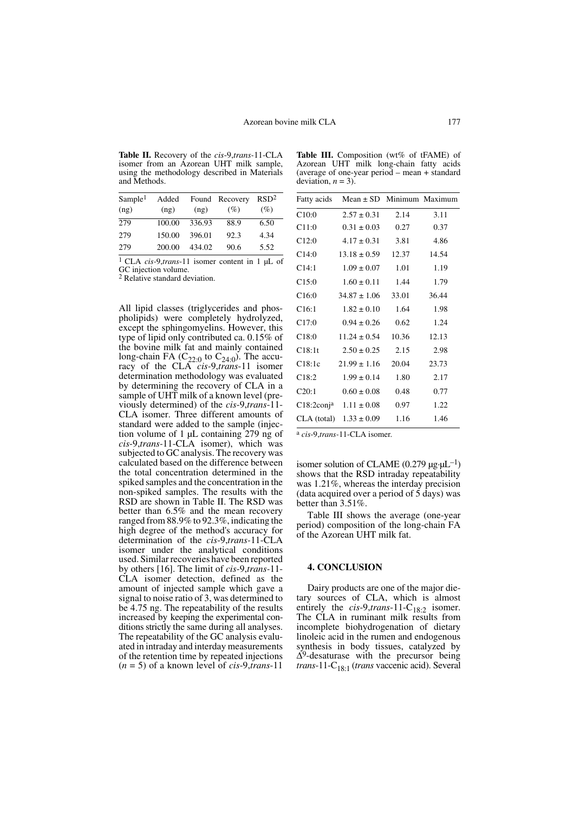**Table II.** Recovery of the *cis*-9,*trans-*11-CLA isomer from an Azorean UHT milk sample, using the methodology described in Materials and Methods.

| Sample <sup>1</sup><br>(ng) | Added<br>(ng) | (ng)   | Found Recovery<br>(%) | RSD <sup>2</sup><br>$(\%)$ |
|-----------------------------|---------------|--------|-----------------------|----------------------------|
| 279                         | 100.00        | 336.93 | 88.9                  | 6.50                       |
| 279                         | 150.00        | 396.01 | 92.3                  | 4.34                       |
| 279                         | 200.00        | 434.02 | 90.6                  | 5.52                       |

1 CLA *cis-*9,*trans*-11 isomer content in 1 µL of GC injection volume.

2 Relative standard deviation.

All lipid classes (triglycerides and phospholipids) were completely hydrolyzed, except the sphingomyelins. However, this type of lipid only contributed ca. 0.15% of the bovine milk fat and mainly contained long-chain FA (C<sub>22:0</sub> to C<sub>24:0</sub>). The accu-<br>racy of the CLA *cis-9,trans*-11 isomer determination methodology was evaluated by determining the recovery of CLA in a sample of UHT milk of a known level (previously determined) of the *cis*-9,*trans*-11- CLA isomer. Three different amounts of standard were added to the sample (injection volume of 1 µL containing 279 ng of *cis*-9,*trans-*11-CLA isomer), which was subjected to GC analysis. The recovery was calculated based on the difference between the total concentration determined in the spiked samples and the concentration in the non-spiked samples. The results with the RSD are shown in Table II. The RSD was better than 6.5% and the mean recovery ranged from 88.9% to 92.3%, indicating the high degree of the method's accuracy for determination of the *cis*-9,*trans-*11-CLA isomer under the analytical conditions used. Similar recoveries have been reported by others [16]. The limit of *cis*-9,*trans-*11- CLA isomer detection, defined as the amount of injected sample which gave a signal to noise ratio of 3, was determined to be 4.75 ng. The repeatability of the results increased by keeping the experimental conditions strictly the same during all analyses. The repeatability of the GC analysis evaluated in intraday and interday measurements of the retention time by repeated injections (*n* = 5) of a known level of *cis*-9,*trans*-11

Table III. Composition (wt% of tFAME) of Azorean UHT milk long-chain fatty acids (average of one-year period – mean + standard deviation,  $n = 3$ ).

| Fatty acids   | Mean $\pm$ SD Minimum Maximum |       |       |
|---------------|-------------------------------|-------|-------|
| C10:0         | $2.57 \pm 0.31$               | 2.14  | 3.11  |
| C11:0         | $0.31 \pm 0.03$               | 0.27  | 0.37  |
| C12:0         | $4.17 \pm 0.31$               | 3.81  | 4.86  |
| C14:0         | $13.18 \pm 0.59$              | 12.37 | 14.54 |
| C14:1         | $1.09 \pm 0.07$               | 1.01  | 1.19  |
| C15:0         | $1.60 \pm 0.11$               | 1.44  | 1.79  |
| C16:0         | $34.87 \pm 1.06$              | 33.01 | 36.44 |
| C16:1         | $1.82 \pm 0.10$               | 1.64  | 1.98  |
| C17:0         | $0.94 \pm 0.26$               | 0.62  | 1.24  |
| C18:0         | $11.24 \pm 0.54$              | 10.36 | 12.13 |
| C18:1t        | $2.50 \pm 0.25$               | 2.15  | 2.98  |
| C18:1c        | $21.99 \pm 1.16$              | 20.04 | 23.73 |
| C18:2         | $1.99 \pm 0.14$               | 1.80  | 2.17  |
| C20:1         | $0.60 \pm 0.08$               | 0.48  | 0.77  |
| $C18:2$ conja | $1.11 \pm 0.08$               | 0.97  | 1.22  |
| CLA (total)   | $1.33 \pm 0.09$               | 1.16  | 1.46  |

a *cis*-9,*trans-*11-CLA isomer.

isomer solution of CLAME (0.279  $\mu$ g· $\mu$ L<sup>-1</sup>) shows that the RSD intraday repeatability was 1.21%, whereas the interday precision (data acquired over a period of  $\frac{5}{9}$  days) was better than 3.51%.

Table III shows the average (one-year period) composition of the long-chain FA of the Azorean UHT milk fat.

#### **4. CONCLUSION**

Dairy products are one of the major dietary sources of CLA, which is almost entirely the  $cis$ -9,*trans*-11-C<sub>18:2</sub> isomer. The CLA in ruminant milk results from incomplete biohydrogenation of dietary linoleic acid in the rumen and endogenous synthesis in body tissues, catalyzed by  $\Delta^9$ -desaturase with the precursor being *trans*-11-C18:1 (*trans* vaccenic acid). Several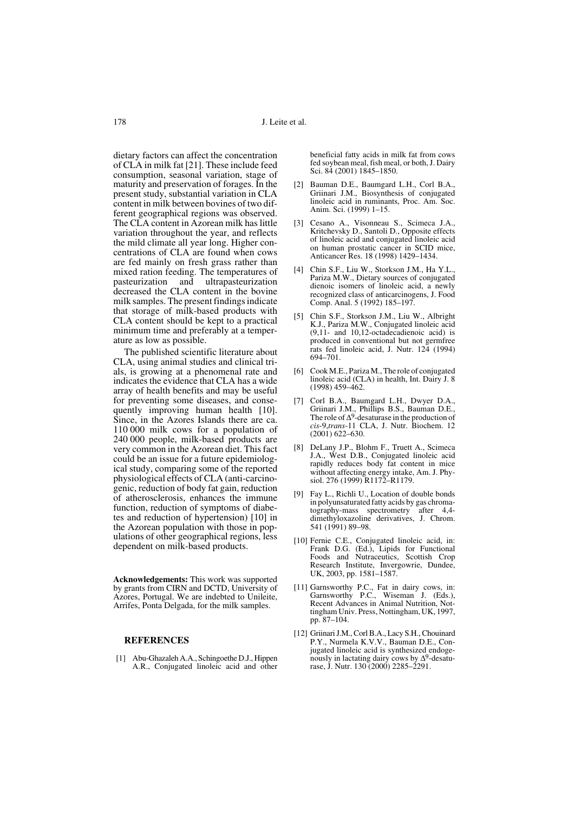dietary factors can affect the concentration of CLA in milk fat [21]. These include feed consumption, seasonal variation, stage of maturity and preservation of forages. In the present study, substantial variation in CLA content in milk between bovines of two different geographical regions was observed. The CLA content in Azorean milk has little variation throughout the year, and reflects the mild climate all year long. Higher concentrations of CLA are found when cows are fed mainly on fresh grass rather than mixed ration feeding. The temperatures of<br>pasteurization and ultrapasteurization pasteurization and ultrapasteurization decreased the CLA content in the bovine milk samples. The present findings indicate that storage of milk-based products with CLA content should be kept to a practical minimum time and preferably at a temperature as low as possible.

The published scientific literature about CLA, using animal studies and clinical trials, is growing at a phenomenal rate and indicates the evidence that CLA has a wide array of health benefits and may be useful for preventing some diseases, and consequently improving human health [10]. Since, in the Azores Islands there are ca. 110 000 milk cows for a population of 240 000 people, milk-based products are very common in the Azorean diet. This fact could be an issue for a future epidemiological study, comparing some of the reported physiological effects of CLA (anti-carcinogenic, reduction of body fat gain, reduction of atherosclerosis, enhances the immune function, reduction of symptoms of diabetes and reduction of hypertension) [10] in the Azorean population with those in populations of other geographical regions, less dependent on milk-based products.

**Acknowledgements:** This work was supported by grants from CIRN and DCTD, University of Azores, Portugal. We are indebted to Unileite, Arrifes, Ponta Delgada, for the milk samples.

## **REFERENCES**

[1] Abu-Ghazaleh A.A., Schingoethe D.J., Hippen A.R., Conjugated linoleic acid and other

beneficial fatty acids in milk fat from cows fed soybean meal, fish meal, or both, J. Dairy Sci. 84 (2001) 1845–1850.

- [2] Bauman D.E., Baumgard L.H., Corl B.A., Griinari J.M., Biosynthesis of conjugated linoleic acid in ruminants, Proc. Am. Soc. Anim. Sci. (1999) 1–15.
- [3] Cesano A., Visonneau S., Scimeca J.A., Kritchevsky D., Santoli D., Opposite effects of linoleic acid and conjugated linoleic acid on human prostatic cancer in SCID mice, Anticancer Res. 18 (1998) 1429–1434.
- [4] Chin S.F., Liu W., Storkson J.M., Ha Y.L., Pariza M.W., Dietary sources of conjugated dienoic isomers of linoleic acid, a newly recognized class of anticarcinogens, J. Food Comp. Anal. 5 (1992) 185–197.
- [5] Chin S.F., Storkson J.M., Liu W., Albright K.J., Pariza M.W., Conjugated linoleic acid (9,11- and 10,12-octadecadienoic acid) is produced in conventional but not germfree rats fed linoleic acid, J. Nutr. 124 (1994) 694–701.
- [6] Cook M.E., Pariza M., The role of conjugated linoleic acid (CLA) in health, Int. Dairy J. 8 (1998) 459–462.
- Corl B.A., Baumgard L.H., Dwyer D.A., Griinari J.M., Phillips B.S., Bauman D.E., The role of  $\Delta^9$ -desaturase in the production of *cis*-9,*trans*-11 CLA, J. Nutr. Biochem. 12 (2001) 622–630.
- [8] DeLany J.P., Blohm F., Truett A., Scimeca J.A., West D.B., Conjugated linoleic acid rapidly reduces body fat content in mice without affecting energy intake, Am. J. Physiol. 276 (1999) R1172–R1179.
- [9] Fay L., Richli U., Location of double bonds in polyunsaturated fatty acids by gas chromatography-mass spectrometry after 4,4 dimethyloxazoline derivatives, J. Chrom. 541 (1991) 89–98.
- [10] Fernie C.E., Conjugated linoleic acid, in: Frank D.G. (Ed.), Lipids for Functional Foods and Nutraceutics, Scottish Crop Research Institute, Invergowrie, Dundee, UK, 2003, pp. 1581–1587.
- [11] Garnsworthy P.C., Fat in dairy cows, in: Garnsworthy P.C., Wiseman J. (Eds.), Recent Advances in Animal Nutrition, Nottingham Univ. Press, Nottingham, UK, 1997, pp. 87–104.
- [12] Griinari J.M., Corl B.A., Lacy S.H., Chouinard P.Y., Nurmela K.V.V., Bauman D.E., Conjugated linoleic acid is synthesized endogenously in lactating dairy cows by ∆9-desaturase, J. Nutr. 130 (2000) 2285–2291.